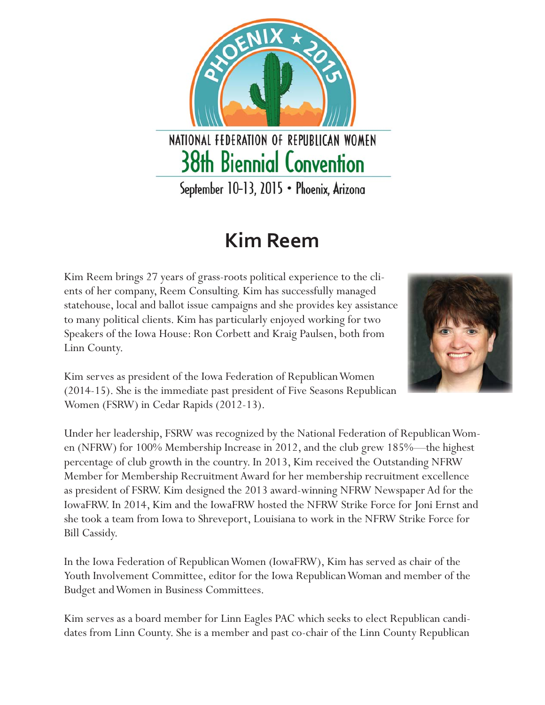

## **Kim Reem**

Kim Reem brings 27 years of grass-roots political experience to the clients of her company, Reem Consulting. Kim has successfully managed statehouse, local and ballot issue campaigns and she provides key assistance to many political clients. Kim has particularly enjoyed working for two Speakers of the Iowa House: Ron Corbett and Kraig Paulsen, both from Linn County.



Kim serves as president of the Iowa Federation of Republican Women (2014-15). She is the immediate past president of Five Seasons Republican Women (FSRW) in Cedar Rapids (2012-13).

Under her leadership, FSRW was recognized by the National Federation of Republican Women (NFRW) for 100% Membership Increase in 2012, and the club grew 185%—the highest percentage of club growth in the country. In 2013, Kim received the Outstanding NFRW Member for Membership Recruitment Award for her membership recruitment excellence as president of FSRW. Kim designed the 2013 award-winning NFRW Newspaper Ad for the IowaFRW. In 2014, Kim and the IowaFRW hosted the NFRW Strike Force for Joni Ernst and she took a team from Iowa to Shreveport, Louisiana to work in the NFRW Strike Force for Bill Cassidy.

In the Iowa Federation of Republican Women (IowaFRW), Kim has served as chair of the Youth Involvement Committee, editor for the Iowa Republican Woman and member of the Budget and Women in Business Committees.

Kim serves as a board member for Linn Eagles PAC which seeks to elect Republican candidates from Linn County. She is a member and past co-chair of the Linn County Republican